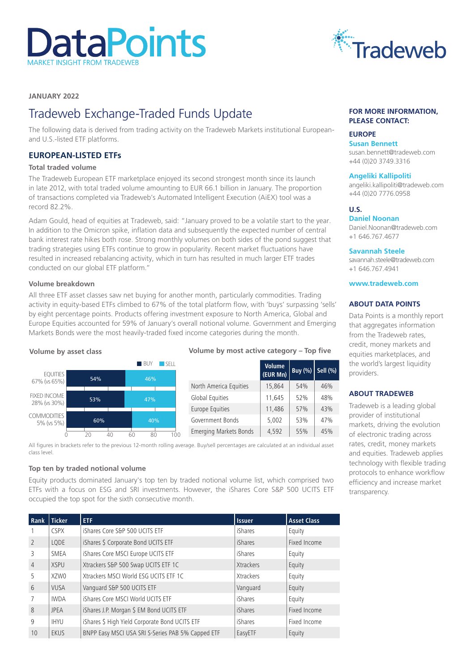# **DataPoints** MARKET INSIGHT FROM TRADEWEB



# **JANUARY 2022**

# Tradeweb Exchange-Traded Funds Update

The following data is derived from trading activity on the Tradeweb Markets institutional Europeanand U.S.-listed ETF platforms.

# **EUROPEAN-LISTED ETFs**

#### **Total traded volume**

The Tradeweb European ETF marketplace enjoyed its second strongest month since its launch in late 2012, with total traded volume amounting to EUR 66.1 billion in January. The proportion of transactions completed via Tradeweb's Automated Intelligent Execution (AiEX) tool was a record 82.2%.

Adam Gould, head of equities at Tradeweb, said: "January proved to be a volatile start to the year. In addition to the Omicron spike, inflation data and subsequently the expected number of central bank interest rate hikes both rose. Strong monthly volumes on both sides of the pond suggest that trading strategies using ETFs continue to grow in popularity. Recent market fluctuations have resulted in increased rebalancing activity, which in turn has resulted in much larger ETF trades conducted on our global ETF platform."

#### **Volume breakdown**

All three ETF asset classes saw net buying for another month, particularly commodities. Trading activity in equity-based ETFs climbed to 67% of the total platform flow, with 'buys' surpassing 'sells' by eight percentage points. Products offering investment exposure to North America, Global and Europe Equities accounted for 59% of January's overall notional volume. Government and Emerging Markets Bonds were the most heavily-traded fixed income categories during the month.



#### **Volume by most active category – Top five**

|                               | <b>Volume</b><br>(EUR Mn) | <b>Buy (%)</b> | Sell (%) |
|-------------------------------|---------------------------|----------------|----------|
| North America Equities        | 15,864                    | 54%            | 46%      |
| Global Equities               | 11,645                    | 52%            | 48%      |
| Europe Equities               | 11.486                    | 57%            | 43%      |
| Government Bonds              | 5,002                     | 53%            | 47%      |
| <b>Emerging Markets Bonds</b> | 4,592                     | 55%            | 45%      |

All figures in brackets refer to the previous 12-month rolling average. Buy/sell percentages are calculated at an individual asset class level.

#### **Top ten by traded notional volume**

Equity products dominated January's top ten by traded notional volume list, which comprised two ETFs with a focus on ESG and SRI investments. However, the iShares Core S&P 500 UCITS ETF occupied the top spot for the sixth consecutive month.

| Rank                     | Ticker      | ETF                                               | <b>Issuer</b>  | <b>Asset Class</b> |
|--------------------------|-------------|---------------------------------------------------|----------------|--------------------|
|                          | <b>CSPX</b> | iShares Core S&P 500 UCITS ETF                    | iShares        | Equity             |
| $\overline{\phantom{0}}$ | LQDE        | iShares \$ Corporate Bond UCITS ETF               | <b>iShares</b> | Fixed Income       |
| 3                        | <b>SMEA</b> | iShares Core MSCI Europe UCITS ETF                | <b>iShares</b> | Equity             |
| $\overline{4}$           | <b>XSPU</b> | Xtrackers S&P 500 Swap UCITS ETF 1C               | Xtrackers      | Equity             |
| 5                        | XZW0        | Xtrackers MSCI World ESG UCITS ETF 1C             | Xtrackers      | Equity             |
| 6                        | <b>VUSA</b> | Vanguard S&P 500 UCITS ETF                        | Vanguard       | Equity             |
|                          | <b>IWDA</b> | iShares Core MSCI World UCITS ETF                 | <b>iShares</b> | Equity             |
| 8                        | <b>JPEA</b> | iShares J.P. Morgan \$ EM Bond UCITS ETF          | <b>iShares</b> | Fixed Income       |
| 9                        | <b>IHYU</b> | iShares \$ High Yield Corporate Bond UCITS ETF    | <b>iShares</b> | Fixed Income       |
| 10                       | EKUS        | BNPP Easy MSCI USA SRI S-Series PAB 5% Capped ETF | EasyETF        | Equity             |

#### **FOR MORE INFORMATION, PLEASE CONTACT:**

# **EUROPE**

**Susan Bennett**  [susan.bennett@tradeweb.com](mailto:susan.bennett%40tradeweb.com?subject=) +44 (0)20 3749.3316

#### **Angeliki Kallipoliti**

[angeliki.kallipoliti@tradeweb.com](mailto:angeliki.kallipoliti%40tradeweb.com?subject=) +44 (0)20 7776.0958

## **U.S.**

**Daniel Noonan**  [Daniel.Noonan@tradeweb.com](mailto:Daniel.Noonan%40tradeweb.com?subject=) +1 646.767.4677

#### **Savannah Steele**

savannah.steele[@tradeweb.com](mailto:hannah.randallakeel%40tradeweb.com?subject=) +1 646.767.4941

**www.tradeweb.com**

#### **ABOUT DATA POINTS**

Data Points is a monthly report that aggregates information from the Tradeweb rates, credit, money markets and equities marketplaces, and the world's largest liquidity providers.

#### **ABOUT TRADEWEB**

Tradeweb is a leading global provider of institutional markets, driving the evolution of electronic trading across rates, credit, money markets and equities. Tradeweb applies technology with flexible trading protocols to enhance workflow efficiency and increase market transparency.